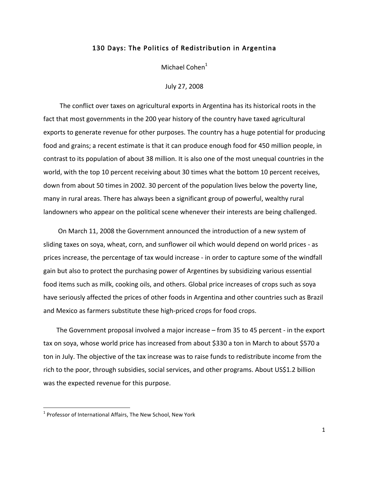## 130 Days: The Politics of Redistribution in Argentina

Michael Cohen<sup>1</sup>

July
27,
2008

The conflict over taxes on agricultural exports in Argentina has its historical roots in the fact that most governments in the 200 year history of the country have taxed agricultural exports to generate revenue for other purposes. The country has a huge potential for producing food and grains; a recent estimate is that it can produce enough food for 450 million people, in contrast to its population of about 38 million. It is also one of the most unequal countries in the world, with the top 10 percent receiving about 30 times what the bottom 10 percent receives, down from about 50 times in 2002. 30 percent of the population lives below the poverty line, many
in
rural
areas.
There
has
always
been
a
significant
group
of
powerful,
wealthy
rural landowners who appear on the political scene whenever their interests are being challenged.

On
March
11, 2008
the
Government
announced
the
introduction
of
a
new
system
of sliding taxes on soya, wheat, corn, and sunflower oil which would depend on world prices - as prices
increase,
the
percentage
of
tax
would
increase
‐ in
order
to
capture
some
of
the
windfall gain
but
also
to
protect
the
purchasing
power
of
Argentines
by
subsidizing
various
essential food items such as milk, cooking oils, and others. Global price increases of crops such as soya have seriously affected the prices of other foods in Argentina and other countries such as Brazil and
Mexico
as
farmers
substitute
these
high‐priced
crops
for
food
crops.

The Government proposal involved a major increase – from 35 to 45 percent - in the export tax on soya, whose world price has increased from about \$330 a ton in March to about \$570 a ton in July. The objective of the tax increase was to raise funds to redistribute income from the rich to the poor, through subsidies, social services, and other programs. About US\$1.2 billion was
the
expected
revenue
for
this
purpose.

<u> 1989 - Jan Samuel Barbara, político establecido de la provincia de la provincia de la provincia de la provinci</u>

<sup>&</sup>lt;sup>1</sup> Professor of International Affairs, The New School, New York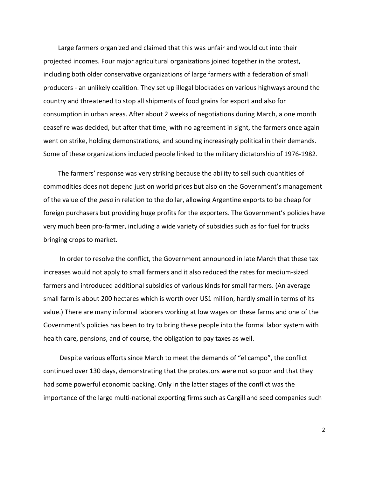Large farmers organized and claimed that this was unfair and would cut into their projected incomes. Four major agricultural organizations joined together in the protest, including both older conservative organizations of large farmers with a federation of small producers
‐
an
unlikely
coalition.
They
set
up
illegal
blockades
on
various
highways
around
the country
and
threatened
to
stop
all
shipments
of
food
grains
for
export
and
also
for consumption
in
urban
areas.
After
about
2
weeks
of
negotiations
during
March,
a
one
month ceasefire was decided, but after that time, with no agreement in sight, the farmers once again went on strike, holding demonstrations, and sounding increasingly political in their demands. Some of these organizations included people linked to the military dictatorship of 1976-1982.

The farmers'
response
was
very
striking
because
the
ability
to
sell
such
quantities
of commodities
does
not
depend
just
on
world
prices
but
also
on
the
Government's
management of the value of the *peso* in relation to the dollar, allowing Argentine exports to be cheap for foreign purchasers but providing huge profits for the exporters. The Government's policies have very much been pro-farmer, including a wide variety of subsidies such as for fuel for trucks bringing
crops
to
market.

In order to resolve the conflict, the Government announced in late March that these tax increases
would
not
apply
to
small
farmers
and
it
also
reduced
the
rates
for
medium‐sized farmers and introduced additional subsidies of various kinds for small farmers. (An average small farm is about 200 hectares which is worth over US1 million, hardly small in terms of its value.) There are many informal laborers working at low wages on these farms and one of the Government's policies has been to try to bring these people into the formal labor system with health
care,
pensions,
and
of
course,
the
obligation
to
pay
taxes
as
well.

Despite various efforts since March to meet the demands of "el campo", the conflict continued
over
130
days,
demonstrating
that
the
protestors
were
not
so
poor
and
that
they had some powerful economic backing. Only in the latter stages of the conflict was the importance of the large multi-national exporting firms such as Cargill and seed companies such

2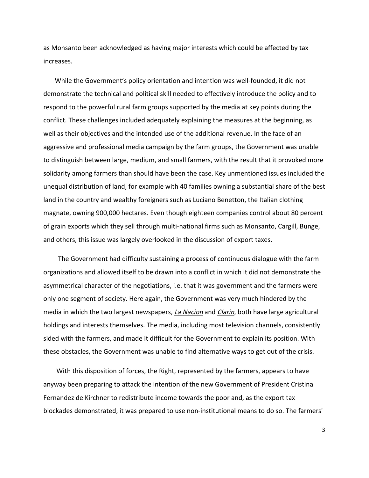as
Monsanto
been
acknowledged
as
having
major
interests
which
could
be
affected
by
tax increases.

While the Government's policy orientation and intention was well-founded, it did not demonstrate the technical and political skill needed to effectively introduce the policy and to respond to the powerful rural farm groups supported by the media at key points during the conflict.
These
challenges
included
adequately
explaining
the
measures
at
the
beginning,
as well as their objectives and the intended use of the additional revenue. In the face of an aggressive
and
professional
media
campaign
by
the
farm
groups,
the
Government
was
unable to distinguish between large, medium, and small farmers, with the result that it provoked more solidarity among farmers than should have been the case. Key unmentioned issues included the unequal
distribution
of
land,
for
example
with
40
families
owning
a
substantial
share
of
the
best land in the country and wealthy foreigners such as Luciano Benetton, the Italian clothing magnate,
owning
900,000
hectares.
Even
though
eighteen
companies
control
about
80
percent of grain exports which they sell through multi-national firms such as Monsanto, Cargill, Bunge, and
others,
this
issue
was
largely
overlooked
in
the
discussion
of
export
taxes.

The Government had difficulty sustaining a process of continuous dialogue with the farm organizations and allowed itself to be drawn into a conflict in which it did not demonstrate the asymmetrical character of the negotiations, i.e. that it was government and the farmers were only
one
segment
of
society.
Here
again,
the
Government
was
very
much
hindered
by
the media in which the two largest newspapers, La Nacion and Clarin, both have large agricultural holdings and interests themselves. The media, including most television channels, consistently sided with the farmers, and made it difficult for the Government to explain its position. With these obstacles, the Government was unable to find alternative ways to get out of the crisis.

With this disposition of forces, the Right, represented by the farmers, appears to have anyway been preparing to attack the intention of the new Government of President Cristina Fernandez de Kirchner to redistribute income towards the poor and, as the export tax blockades demonstrated, it was prepared to use non-institutional means to do so. The farmers'

3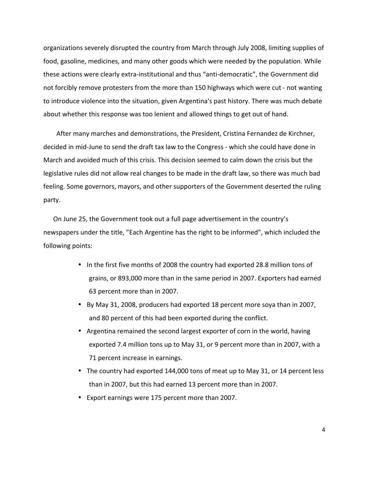organizations
severely
disrupted
the
country
from
March
through
July
2008,
limiting
supplies
of food,
gasoline,
medicines,
and
many
other
goods
which
were
needed
by
the
population.
While these actions were clearly extra-institutional and thus "anti-democratic", the Government did not
forcibly
remove
protesters
from
the
more
than
150
highways
which
were
cut
‐
not
wanting to introduce violence into the situation, given Argentina's past history. There was much debate about whether this response was too lenient and allowed things to get out of hand.

After
many
marches
and
demonstrations,
the
President,
Cristina
Fernandez
de
Kirchner, decided in mid-June to send the draft tax law to the Congress - which she could have done in March and avoided much of this crisis. This decision seemed to calm down the crisis but the legislative rules did not allow real changes to be made in the draft law, so there was much bad feeling. Some governors, mayors, and other supporters of the Government deserted the ruling party.

On June 25, the Government took out a full page advertisement in the country's newspapers under the title, "Each Argentine has the right to be informed", which included the following
points:

- In the first five months of 2008 the country had exported 28.8 million tons of grains,
or
893,000
more
than
in
the
same
period
in
2007.
Exporters
had
earned 63
percent
more
than
in
2007.
- By May 31, 2008, producers had exported 18 percent more soya than in 2007, and
80
percent
of
this
had
been
exported
during
the
conflict.
- Argentina remained the second largest exporter of corn in the world, having exported
7.4
million
tons
up
to
May
31,
or
9
percent
more
than
in
2007,
with
a 71
percent
increase
in
earnings.
- The country had exported 144,000 tons of meat up to May 31, or 14 percent less than in 2007, but this had earned 13 percent more than in 2007.
- Export
earnings
were
175
percent
more
than
2007.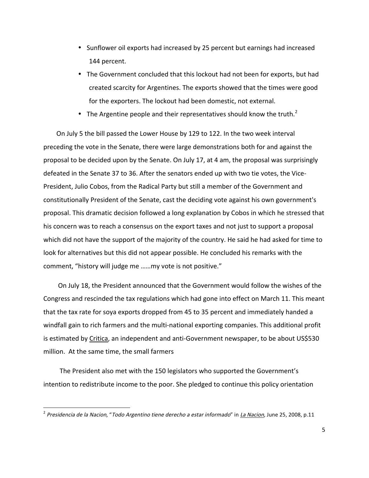- Sunflower oil exports had increased by 25 percent but earnings had increased 144
percent.
- The Government concluded that this lockout had not been for exports, but had created
scarcity
for
Argentines.
The
exports
showed
that
the
times
were
good for
the
exporters.
The
lockout
had
been
domestic,
not
external.
- The Argentine people and their representatives should know the truth.<sup>2</sup>

On
July
5
the
bill
passed
the
Lower
House
by
129
to
122.
In
the
two
week
interval preceding
the
vote
in
the
Senate,
there
were
large
demonstrations
both
for
and
against
the proposal
to
be
decided
upon
by
the
Senate.
On
July
17,
at
4
am,
the
proposal
was
surprisingly defeated
in
the
Senate
37
to
36.
After
the
senators
ended
up
with
two
tie
votes,
the
Vice‐ President,
Julio
Cobos,
from
the
Radical
Party
but
still
a
member
of
the
Government
and constitutionally
President
of
the
Senate,
cast
the
deciding
vote
against
his
own
government's proposal.
This
dramatic
decision
followed
a
long
explanation
by
Cobos
in
which
he
stressed
that his concern was to reach a consensus on the export taxes and not just to support a proposal which did not have the support of the majority of the country. He said he had asked for time to look for alternatives but this did not appear possible. He concluded his remarks with the comment,
"history
will
judge
me
……my
vote
is
not
positive."

 On
July
18,
the
President
announced
that
the
Government
would
follow
the
wishes
of
the Congress and rescinded the tax regulations which had gone into effect on March 11. This meant that the tax rate for soya exports dropped from 45 to 35 percent and immediately handed a windfall gain to rich farmers and the multi-national exporting companies. This additional profit is estimated by Critica, an independent and anti-Government newspaper, to be about US\$530 million.

At
the
same
time,
the
small
farmers

The President also met with the 150 legislators who supported the Government's intention to redistribute income to the poor. She pledged to continue this policy orientation

<u> 1989 - Jan Samuel Barbara, político establecido de la provincia de la provincia de la provincia de la provinci</u>

<sup>&</sup>lt;sup>2</sup> Presidencia de la Nacion, "Todo Argentino tiene derecho a estar informado" in *La Nacion,* June 25, 2008, p.11